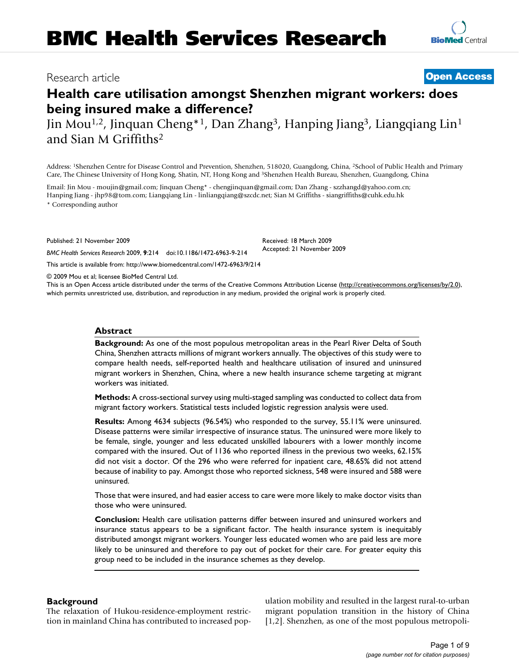# Research article **[Open Access](http://www.biomedcentral.com/info/about/charter/)**

# **Health care utilisation amongst Shenzhen migrant workers: does being insured make a difference?**

Jin Mou<sup>1,2</sup>, Jinquan Cheng<sup>\*1</sup>, Dan Zhang<sup>3</sup>, Hanping Jiang<sup>3</sup>, Liangqiang Lin<sup>1</sup> and Sian M Griffiths2

Address: 1Shenzhen Centre for Disease Control and Prevention, Shenzhen, 518020, Guangdong, China, 2School of Public Health and Primary Care, The Chinese University of Hong Kong, Shatin, NT, Hong Kong and 3Shenzhen Health Bureau, Shenzhen, Guangdong, China

Email: Jin Mou - moujin@gmail.com; Jinquan Cheng\* - chengjinquan@gmail.com; Dan Zhang - szzhangd@yahoo.com.cn; Hanping Jiang - jhp98@tom.com; Liangqiang Lin - linliangqiang@szcdc.net; Sian M Griffiths - siangriffiths@cuhk.edu.hk \* Corresponding author

Published: 21 November 2009

*BMC Health Services Research* 2009, **9**:214 doi:10.1186/1472-6963-9-214

[This article is available from: http://www.biomedcentral.com/1472-6963/9/214](http://www.biomedcentral.com/1472-6963/9/214)

© 2009 Mou et al; licensee BioMed Central Ltd.

This is an Open Access article distributed under the terms of the Creative Commons Attribution License [\(http://creativecommons.org/licenses/by/2.0\)](http://creativecommons.org/licenses/by/2.0), which permits unrestricted use, distribution, and reproduction in any medium, provided the original work is properly cited.

Received: 18 March 2009 Accepted: 21 November 2009

#### **Abstract**

**Background:** As one of the most populous metropolitan areas in the Pearl River Delta of South China, Shenzhen attracts millions of migrant workers annually. The objectives of this study were to compare health needs, self-reported health and healthcare utilisation of insured and uninsured migrant workers in Shenzhen, China, where a new health insurance scheme targeting at migrant workers was initiated.

**Methods:** A cross-sectional survey using multi-staged sampling was conducted to collect data from migrant factory workers. Statistical tests included logistic regression analysis were used.

**Results:** Among 4634 subjects (96.54%) who responded to the survey, 55.11% were uninsured. Disease patterns were similar irrespective of insurance status. The uninsured were more likely to be female, single, younger and less educated unskilled labourers with a lower monthly income compared with the insured. Out of 1136 who reported illness in the previous two weeks, 62.15% did not visit a doctor. Of the 296 who were referred for inpatient care, 48.65% did not attend because of inability to pay. Amongst those who reported sickness, 548 were insured and 588 were uninsured.

Those that were insured, and had easier access to care were more likely to make doctor visits than those who were uninsured.

**Conclusion:** Health care utilisation patterns differ between insured and uninsured workers and insurance status appears to be a significant factor. The health insurance system is inequitably distributed amongst migrant workers. Younger less educated women who are paid less are more likely to be uninsured and therefore to pay out of pocket for their care. For greater equity this group need to be included in the insurance schemes as they develop.

# **Background**

The relaxation of Hukou-residence-employment restriction in mainland China has contributed to increased population mobility and resulted in the largest rural-to-urban migrant population transition in the history of China [1,2]. Shenzhen, as one of the most populous metropoli-

**[BioMed](http://www.biomedcentral.com/)** Central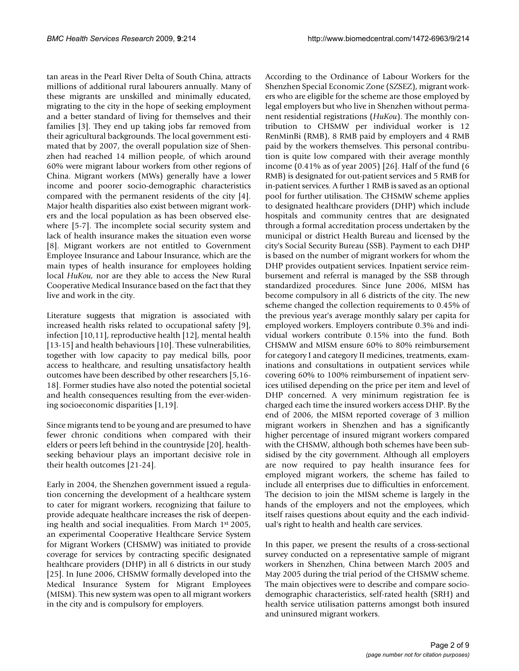tan areas in the Pearl River Delta of South China, attracts millions of additional rural labourers annually. Many of these migrants are unskilled and minimally educated, migrating to the city in the hope of seeking employment and a better standard of living for themselves and their families [3]. They end up taking jobs far removed from their agricultural backgrounds. The local government estimated that by 2007, the overall population size of Shenzhen had reached 14 million people, of which around 60% were migrant labour workers from other regions of China. Migrant workers (MWs) generally have a lower income and poorer socio-demographic characteristics compared with the permanent residents of the city [4]. Major health disparities also exist between migrant workers and the local population as has been observed elsewhere [5-7]. The incomplete social security system and lack of health insurance makes the situation even worse [8]. Migrant workers are not entitled to Government Employee Insurance and Labour Insurance, which are the main types of health insurance for employees holding local *HuKou*, nor are they able to access the New Rural Cooperative Medical Insurance based on the fact that they live and work in the city.

Literature suggests that migration is associated with increased health risks related to occupational safety [9], infection [10,11], reproductive health [12], mental health [13-15] and health behaviours [10]. These vulnerabilities, together with low capacity to pay medical bills, poor access to healthcare, and resulting unsatisfactory health outcomes have been described by other researchers [5,16- 18]. Former studies have also noted the potential societal and health consequences resulting from the ever-widening socioeconomic disparities [1,19].

Since migrants tend to be young and are presumed to have fewer chronic conditions when compared with their elders or peers left behind in the countryside [20], healthseeking behaviour plays an important decisive role in their health outcomes [21-24].

Early in 2004, the Shenzhen government issued a regulation concerning the development of a healthcare system to cater for migrant workers, recognizing that failure to provide adequate healthcare increases the risk of deepening health and social inequalities. From March 1st 2005, an experimental Cooperative Healthcare Service System for Migrant Workers (CHSMW) was initiated to provide coverage for services by contracting specific designated healthcare providers (DHP) in all 6 districts in our study [25]. In June 2006, CHSMW formally developed into the Medical Insurance System for Migrant Employees (MISM). This new system was open to all migrant workers in the city and is compulsory for employers.

According to the Ordinance of Labour Workers for the Shenzhen Special Economic Zone (SZSEZ), migrant workers who are eligible for the scheme are those employed by legal employers but who live in Shenzhen without permanent residential registrations (*HuKou*). The monthly contribution to CHSMW per individual worker is 12 RenMinBi (RMB), 8 RMB paid by employers and 4 RMB paid by the workers themselves. This personal contribution is quite low compared with their average monthly income (0.41% as of year 2005) [26]. Half of the fund (6 RMB) is designated for out-patient services and 5 RMB for in-patient services. A further 1 RMB is saved as an optional pool for further utilisation. The CHSMW scheme applies to designated healthcare providers (DHP) which include hospitals and community centres that are designated through a formal accreditation process undertaken by the municipal or district Health Bureau and licensed by the city's Social Security Bureau (SSB). Payment to each DHP is based on the number of migrant workers for whom the DHP provides outpatient services. Inpatient service reimbursement and referral is managed by the SSB through standardized procedures. Since June 2006, MISM has become compulsory in all 6 districts of the city. The new scheme changed the collection requirements to 0.45% of the previous year's average monthly salary per capita for employed workers. Employers contribute 0.3% and individual workers contribute 0.15% into the fund. Both CHSMW and MISM ensure 60% to 80% reimbursement for category I and category II medicines, treatments, examinations and consultations in outpatient services while covering 60% to 100% reimbursement of inpatient services utilised depending on the price per item and level of DHP concerned. A very minimum registration fee is charged each time the insured workers access DHP. By the end of 2006, the MISM reported coverage of 3 million migrant workers in Shenzhen and has a significantly higher percentage of insured migrant workers compared with the CHSMW, although both schemes have been subsidised by the city government. Although all employers are now required to pay health insurance fees for employed migrant workers, the scheme has failed to include all enterprises due to difficulties in enforcement. The decision to join the MISM scheme is largely in the hands of the employers and not the employees, which itself raises questions about equity and the each individual's right to health and health care services.

In this paper, we present the results of a cross-sectional survey conducted on a representative sample of migrant workers in Shenzhen, China between March 2005 and May 2005 during the trial period of the CHSMW scheme. The main objectives were to describe and compare sociodemographic characteristics, self-rated health (SRH) and health service utilisation patterns amongst both insured and uninsured migrant workers.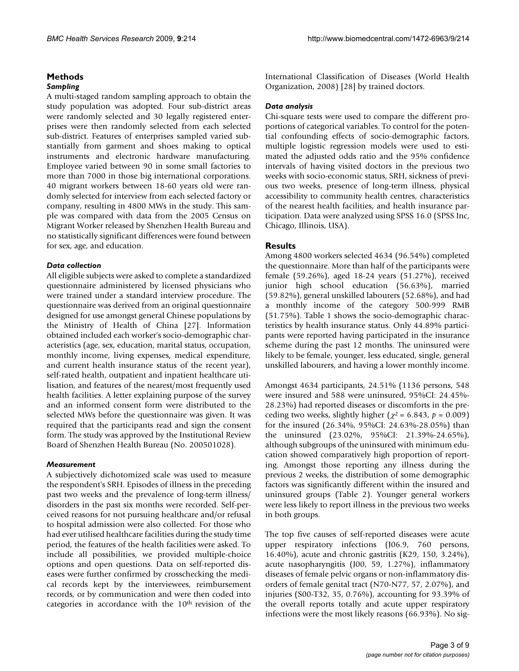#### **Methods**

#### *Sampling*

A multi-staged random sampling approach to obtain the study population was adopted. Four sub-district areas were randomly selected and 30 legally registered enterprises were then randomly selected from each selected sub-district. Features of enterprises sampled varied substantially from garment and shoes making to optical instruments and electronic hardware manufacturing. Employee varied between 90 in some small factories to more than 7000 in those big international corporations. 40 migrant workers between 18-60 years old were randomly selected for interview from each selected factory or company, resulting in 4800 MWs in the study. This sample was compared with data from the 2005 Census on Migrant Worker released by Shenzhen Health Bureau and no statistically significant differences were found between for sex, age, and education.

## *Data collection*

All eligible subjects were asked to complete a standardized questionnaire administered by licensed physicians who were trained under a standard interview procedure. The questionnaire was derived from an original questionnaire designed for use amongst general Chinese populations by the Ministry of Health of China [27]. Information obtained included each worker's socio-demographic characteristics (age, sex, education, marital status, occupation, monthly income, living expenses, medical expenditure, and current health insurance status of the recent year), self-rated health, outpatient and inpatient healthcare utilisation, and features of the nearest/most frequently used health facilities. A letter explaining purpose of the survey and an informed consent form were distributed to the selected MWs before the questionnaire was given. It was required that the participants read and sign the consent form. The study was approved by the Institutional Review Board of Shenzhen Health Bureau (No. 200501028).

#### *Measurement*

A subjectively dichotomized scale was used to measure the respondent's SRH. Episodes of illness in the preceding past two weeks and the prevalence of long-term illness/ disorders in the past six months were recorded. Self-perceived reasons for not pursuing healthcare and/or refusal to hospital admission were also collected. For those who had ever utilised healthcare facilities during the study time period, the features of the health facilities were asked. To include all possibilities, we provided multiple-choice options and open questions. Data on self-reported diseases were further confirmed by crosschecking the medical records kept by the interviewees, reimbursement records, or by communication and were then coded into categories in accordance with the 10<sup>th</sup> revision of the International Classification of Diseases (World Health Organization, 2008) [28] by trained doctors.

# *Data analysis*

Chi-square tests were used to compare the different proportions of categorical variables. To control for the potential confounding effects of socio-demographic factors, multiple logistic regression models were used to estimated the adjusted odds ratio and the 95% confidence intervals of having visited doctors in the previous two weeks with socio-economic status, SRH, sickness of previous two weeks, presence of long-term illness, physical accessibility to community health centres, characteristics of the nearest health facilities, and health insurance participation. Data were analyzed using SPSS 16.0 (SPSS Inc, Chicago, Illinois, USA).

## **Results**

Among 4800 workers selected 4634 (96.54%) completed the questionnaire. More than half of the participants were female (59.26%), aged 18-24 years (51.27%), received junior high school education (56.63%), married (59.82%), general unskilled labourers (52.68%), and had a monthly income of the category 500-999 RMB (51.75%). Table 1 shows the socio-demographic characteristics by health insurance status. Only 44.89% participants were reported having participated in the insurance scheme during the past 12 months. The uninsured were likely to be female, younger, less educated, single, general unskilled labourers, and having a lower monthly income.

Amongst 4634 participants, 24.51% (1136 persons, 548 were insured and 588 were uninsured, 95%CI: 24.45%- 28.23%) had reported diseases or discomforts in the preceding two weeks, slightly higher ( $\chi^2$  = 6.843,  $p = 0.009$ ) for the insured (26.34%, 95%CI: 24.63%-28.05%) than the uninsured (23.02%, 95%CI: 21.39%-24.65%), although subgroups of the uninsured with minimum education showed comparatively high proportion of reporting. Amongst those reporting any illness during the previous 2 weeks, the distribution of some demographic factors was significantly different within the insured and uninsured groups (Table 2). Younger general workers were less likely to report illness in the previous two weeks in both groups.

The top five causes of self-reported diseases were acute upper respiratory infections (J06.9, 760 persons, 16.40%), acute and chronic gastritis (K29, 150, 3.24%), acute nasopharyngitis (J00, 59, 1.27%), inflammatory diseases of female pelvic organs or non-inflammatory disorders of female genital tract (N70-N77, 57, 2.07%), and injuries (S00-T32, 35, 0.76%), accounting for 93.39% of the overall reports totally and acute upper respiratory infections were the most likely reasons (66.93%). No sig-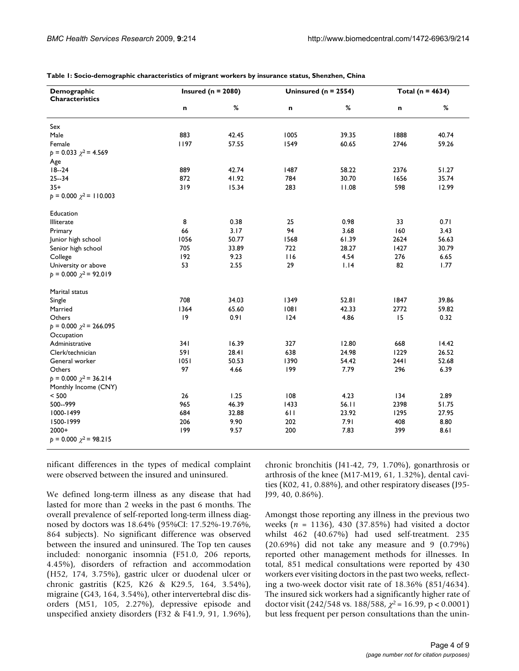| Demographic<br><b>Characteristics</b> | Insured ( $n = 2080$ ) |       |      | Uninsured ( $n = 2554$ ) | Total ( $n = 4634$ ) |       |
|---------------------------------------|------------------------|-------|------|--------------------------|----------------------|-------|
|                                       | n                      | %     | n    | %                        | n                    | %     |
| Sex                                   |                        |       |      |                          |                      |       |
| Male                                  | 883                    | 42.45 | 1005 | 39.35                    | 1888                 | 40.74 |
| Female                                | 1197                   | 57.55 | 1549 | 60.65                    | 2746                 | 59.26 |
| $p = 0.033$ $\chi^2 = 4.569$          |                        |       |      |                          |                      |       |
| Age                                   |                        |       |      |                          |                      |       |
| $18 - 24$                             | 889                    | 42.74 | 1487 | 58.22                    | 2376                 | 51.27 |
| $25 - 34$                             | 872                    | 41.92 | 784  | 30.70                    | 1656                 | 35.74 |
| $35+$                                 | 319                    | 15.34 | 283  | 11.08                    | 598                  | 12.99 |
| $p = 0.000 \chi^2 = 110.003$          |                        |       |      |                          |                      |       |
| Education                             |                        |       |      |                          |                      |       |
| Illiterate                            | 8                      | 0.38  | 25   | 0.98                     | 33                   | 0.71  |
| Primary                               | 66                     | 3.17  | 94   | 3.68                     | 160                  | 3.43  |
| Junior high school                    | 1056                   | 50.77 | 1568 | 61.39                    | 2624                 | 56.63 |
| Senior high school                    | 705                    | 33.89 | 722  | 28.27                    | 1427                 | 30.79 |
| College                               | 192                    | 9.23  | 116  | 4.54                     | 276                  | 6.65  |
| University or above                   | 53                     | 2.55  | 29   | 1.14                     | 82                   | 1.77  |
| $p = 0.000 \chi^2 = 92.019$           |                        |       |      |                          |                      |       |
| Marital status                        |                        |       |      |                          |                      |       |
| Single                                | 708                    | 34.03 | 1349 | 52.81                    | 1847                 | 39.86 |
| Married                               | 1364                   | 65.60 | 1081 | 42.33                    | 2772                 | 59.82 |
| Others                                | 9                      | 0.91  | 124  | 4.86                     | 15                   | 0.32  |
| $p = 0.000 \chi^2 = 266.095$          |                        |       |      |                          |                      |       |
| Occupation                            |                        |       |      |                          |                      |       |
| Administrative                        | 341                    | 16.39 | 327  | 12.80                    | 668                  | 14.42 |
| Clerk/technician                      | 591                    | 28.41 | 638  | 24.98                    | 1229                 | 26.52 |
| General worker                        | 1051                   | 50.53 | 1390 | 54.42                    | 2441                 | 52.68 |
| Others                                | 97                     | 4.66  | 199  | 7.79                     | 296                  | 6.39  |
| $p = 0.000 \chi^2 = 36.214$           |                        |       |      |                          |                      |       |
| Monthly Income (CNY)                  |                        |       |      |                          |                      |       |
| < 500                                 | 26                     | 1.25  | 108  | 4.23                     | 134                  | 2.89  |
| 500--999                              | 965                    | 46.39 | 1433 | 56.11                    | 2398                 | 51.75 |
| 1000-1499                             | 684                    | 32.88 | 611  | 23.92                    | 1295                 | 27.95 |
| 1500-1999                             | 206                    | 9.90  | 202  | 7.91                     | 408                  | 8.80  |
| $2000+$                               | 199                    | 9.57  | 200  | 7.83                     | 399                  | 8.61  |
| $p = 0.000 \chi^2 = 98.215$           |                        |       |      |                          |                      |       |

**Table 1: Socio-demographic characteristics of migrant workers by insurance status, Shenzhen, China**

nificant differences in the types of medical complaint were observed between the insured and uninsured.

We defined long-term illness as any disease that had lasted for more than 2 weeks in the past 6 months. The overall prevalence of self-reported long-term illness diagnosed by doctors was 18.64% (95%CI: 17.52%-19.76%, 864 subjects). No significant difference was observed between the insured and uninsured. The Top ten causes included: nonorganic insomnia (F51.0, 206 reports, 4.45%), disorders of refraction and accommodation (H52, 174, 3.75%), gastric ulcer or duodenal ulcer or chronic gastritis (K25, K26 & K29.5, 164, 3.54%), migraine (G43, 164, 3.54%), other intervertebral disc disorders (M51, 105, 2.27%), depressive episode and unspecified anxiety disorders (F32 & F41.9, 91, 1.96%),

chronic bronchitis (J41-42, 79, 1.70%), gonarthrosis or arthrosis of the knee (M17-M19, 61, 1.32%), dental cavities (K02, 41, 0.88%), and other respiratory diseases (J95- J99, 40, 0.86%).

Amongst those reporting any illness in the previous two weeks (*n* = 1136), 430 (37.85%) had visited a doctor whilst 462 (40.67%) had used self-treatment. 235 (20.69%) did not take any measure and 9 (0.79%) reported other management methods for illnesses. In total, 851 medical consultations were reported by 430 workers ever visiting doctors in the past two weeks, reflecting a two-week doctor visit rate of 18.36% (851/4634). The insured sick workers had a significantly higher rate of doctor visit (242/548 vs. 188/588,  $\chi^2$  = 16.99, p < 0.0001) but less frequent per person consultations than the unin-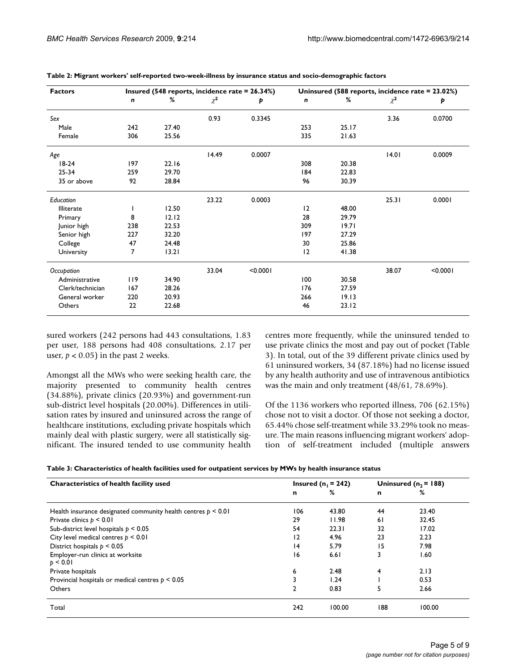| <b>Factors</b>   |     |       | Insured (548 reports, incidence rate = 26.34%) |          | Uninsured (588 reports, incidence rate = 23.02%) |       |          |          |
|------------------|-----|-------|------------------------------------------------|----------|--------------------------------------------------|-------|----------|----------|
|                  | n   | %     | $\chi^2$                                       | Þ        | n                                                | %     | $\chi^2$ | Þ        |
| Sex              |     |       | 0.93                                           | 0.3345   |                                                  |       | 3.36     | 0.0700   |
| Male             | 242 | 27.40 |                                                |          | 253                                              | 25.17 |          |          |
| Female           | 306 | 25.56 |                                                |          | 335                                              | 21.63 |          |          |
| Age              |     |       | 14.49                                          | 0.0007   |                                                  |       | 14.01    | 0.0009   |
| $18-24$          | 197 | 22.16 |                                                |          | 308                                              | 20.38 |          |          |
| $25 - 34$        | 259 | 29.70 |                                                |          | 184                                              | 22.83 |          |          |
| 35 or above      | 92  | 28.84 |                                                |          | 96                                               | 30.39 |          |          |
| Education        |     |       | 23.22                                          | 0.0003   |                                                  |       | 25.31    | 0.0001   |
| Illiterate       |     | 12.50 |                                                |          | 12                                               | 48.00 |          |          |
| Primary          | 8   | 12.12 |                                                |          | 28                                               | 29.79 |          |          |
| Junior high      | 238 | 22.53 |                                                |          | 309                                              | 19.71 |          |          |
| Senior high      | 227 | 32.20 |                                                |          | 197                                              | 27.29 |          |          |
| College          | 47  | 24.48 |                                                |          | 30                                               | 25.86 |          |          |
| University       | 7   | 13.21 |                                                |          | 12                                               | 41.38 |          |          |
| Occupation       |     |       | 33.04                                          | < 0.0001 |                                                  |       | 38.07    | < 0.0001 |
| Administrative   | 119 | 34.90 |                                                |          | 100                                              | 30.58 |          |          |
| Clerk/technician | 167 | 28.26 |                                                |          | 176                                              | 27.59 |          |          |
| General worker   | 220 | 20.93 |                                                |          | 266                                              | 19.13 |          |          |
| Others           | 22  | 22.68 |                                                |          | 46                                               | 23.12 |          |          |

**Table 2: Migrant workers' self-reported two-week-illness by insurance status and socio-demographic factors**

sured workers (242 persons had 443 consultations, 1.83 per user, 188 persons had 408 consultations, 2.17 per user,  $p < 0.05$ ) in the past 2 weeks.

Amongst all the MWs who were seeking health care, the majority presented to community health centres (34.88%), private clinics (20.93%) and government-run sub-district level hospitals (20.00%). Differences in utilisation rates by insured and uninsured across the range of healthcare institutions, excluding private hospitals which mainly deal with plastic surgery, were all statistically significant. The insured tended to use community health

centres more frequently, while the uninsured tended to use private clinics the most and pay out of pocket (Table 3). In total, out of the 39 different private clinics used by 61 uninsured workers, 34 (87.18%) had no license issued by any health authority and use of intravenous antibiotics was the main and only treatment (48/61, 78.69%).

Of the 1136 workers who reported illness, 706 (62.15%) chose not to visit a doctor. Of those not seeking a doctor, 65.44% chose self-treatment while 33.29% took no measure. The main reasons influencing migrant workers' adoption of self-treatment included (multiple answers

| Characteristics of health facility used                            |                | Insured $(n_1 = 242)$ | Uninsured $(n_2 = 188)$ |        |
|--------------------------------------------------------------------|----------------|-----------------------|-------------------------|--------|
|                                                                    | n              | ℅                     | n                       | %      |
| Health insurance designated community health centres $p \leq 0.01$ | 106            | 43.80                 | 44                      | 23.40  |
| Private clinics $p < 0.01$                                         | 29             | 11.98                 | 6 I                     | 32.45  |
| Sub-district level hospitals $p < 0.05$                            | 54             | 22.31                 | 32                      | 17.02  |
| City level medical centres $p < 0.01$                              | $\overline{2}$ | 4.96                  | 23                      | 2.23   |
| District hospitals $p < 0.05$                                      | 4              | 5.79                  | 15                      | 7.98   |
| Employer-run clinics at worksite<br>p < 0.01                       | 16             | 6.61                  | 3                       | 1.60   |
| Private hospitals                                                  | 6              | 2.48                  | 4                       | 2.13   |
| Provincial hospitals or medical centres $p < 0.05$                 |                | 1.24                  |                         | 0.53   |
| Others                                                             | $\overline{2}$ | 0.83                  | 5                       | 2.66   |
| Total                                                              | 242            | 100.00                | 188                     | 100.00 |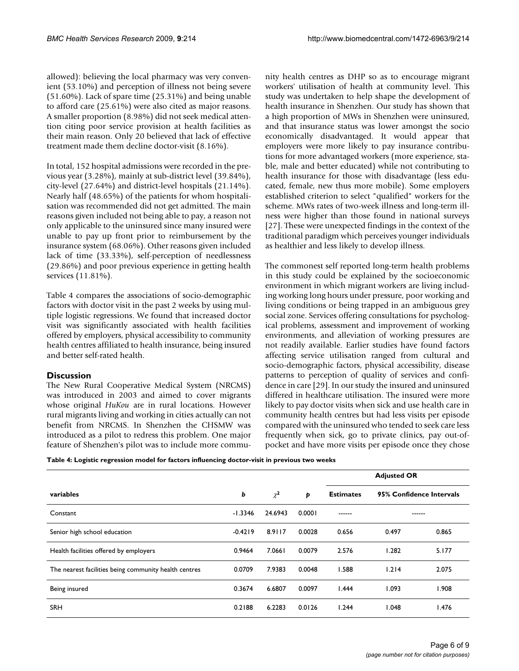allowed): believing the local pharmacy was very convenient (53.10%) and perception of illness not being severe (51.60%). Lack of spare time (25.31%) and being unable to afford care (25.61%) were also cited as major reasons. A smaller proportion (8.98%) did not seek medical attention citing poor service provision at health facilities as their main reason. Only 20 believed that lack of effective treatment made them decline doctor-visit (8.16%).

In total, 152 hospital admissions were recorded in the previous year (3.28%), mainly at sub-district level (39.84%), city-level (27.64%) and district-level hospitals (21.14%). Nearly half (48.65%) of the patients for whom hospitalisation was recommended did not get admitted. The main reasons given included not being able to pay, a reason not only applicable to the uninsured since many insured were unable to pay up front prior to reimbursement by the insurance system (68.06%). Other reasons given included lack of time (33.33%), self-perception of needlessness (29.86%) and poor previous experience in getting health services (11.81%).

Table 4 compares the associations of socio-demographic factors with doctor visit in the past 2 weeks by using multiple logistic regressions. We found that increased doctor visit was significantly associated with health facilities offered by employers, physical accessibility to community health centres affiliated to health insurance, being insured and better self-rated health.

# **Discussion**

The New Rural Cooperative Medical System (NRCMS) was introduced in 2003 and aimed to cover migrants whose original *HuKou* are in rural locations. However rural migrants living and working in cities actually can not benefit from NRCMS. In Shenzhen the CHSMW was introduced as a pilot to redress this problem. One major feature of Shenzhen's pilot was to include more community health centres as DHP so as to encourage migrant workers' utilisation of health at community level. This study was undertaken to help shape the development of health insurance in Shenzhen. Our study has shown that a high proportion of MWs in Shenzhen were uninsured, and that insurance status was lower amongst the socio economically disadvantaged. It would appear that employers were more likely to pay insurance contributions for more advantaged workers (more experience, stable, male and better educated) while not contributing to health insurance for those with disadvantage (less educated, female, new thus more mobile). Some employers established criterion to select "qualified" workers for the scheme. MWs rates of two-week illness and long-term illness were higher than those found in national surveys [27]. These were unexpected findings in the context of the traditional paradigm which perceives younger individuals as healthier and less likely to develop illness.

The commonest self reported long-term health problems in this study could be explained by the socioeconomic environment in which migrant workers are living including working long hours under pressure, poor working and living conditions or being trapped in an ambiguous grey social zone. Services offering consultations for psychological problems, assessment and improvement of working environments, and alleviation of working pressures are not readily available. Earlier studies have found factors affecting service utilisation ranged from cultural and socio-demographic factors, physical accessibility, disease patterns to perception of quality of services and confidence in care [29]. In our study the insured and uninsured differed in healthcare utilisation. The insured were more likely to pay doctor visits when sick and use health care in community health centres but had less visits per episode compared with the uninsured who tended to seek care less frequently when sick, go to private clinics, pay out-ofpocket and have more visits per episode once they chose

**Table 4: Logistic regression model for factors influencing doctor-visit in previous two weeks**

|                                                       |               |         |        | <b>Adjusted OR</b> |                          |       |
|-------------------------------------------------------|---------------|---------|--------|--------------------|--------------------------|-------|
| variables                                             | ь<br>$\chi^2$ |         | Þ      | <b>Estimates</b>   | 95% Confidence Intervals |       |
| Constant                                              | $-1.3346$     | 24.6943 | 0.0001 | ------             | ------                   |       |
| Senior high school education                          | $-0.4219$     | 8.9117  | 0.0028 | 0.656              | 0.497                    | 0.865 |
| Health facilities offered by employers                | 0.9464        | 7.0661  | 0.0079 | 2.576              | 1.282                    | 5.177 |
| The nearest facilities being community health centres | 0.0709        | 7.9383  | 0.0048 | 1.588              | 1.214                    | 2.075 |
| Being insured                                         | 0.3674        | 6.6807  | 0.0097 | 1.444              | 1.093                    | 1.908 |
| <b>SRH</b>                                            | 0.2188        | 6.2283  | 0.0126 | 1.244              | 1.048                    | 1.476 |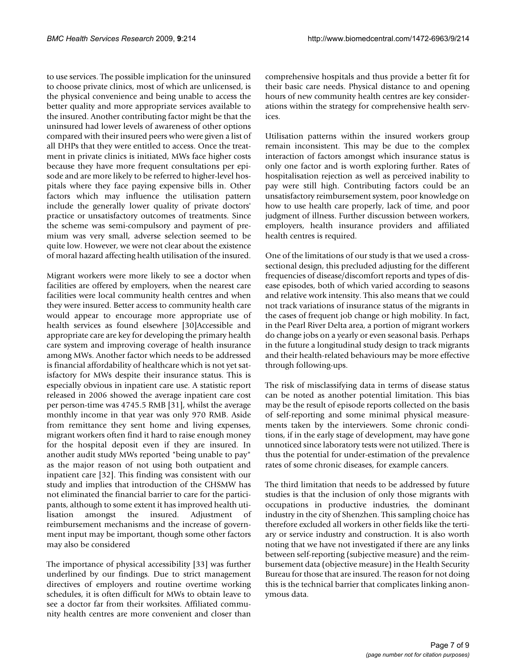to use services. The possible implication for the uninsured to choose private clinics, most of which are unlicensed, is the physical convenience and being unable to access the better quality and more appropriate services available to the insured. Another contributing factor might be that the uninsured had lower levels of awareness of other options compared with their insured peers who were given a list of all DHPs that they were entitled to access. Once the treatment in private clinics is initiated, MWs face higher costs because they have more frequent consultations per episode and are more likely to be referred to higher-level hospitals where they face paying expensive bills in. Other factors which may influence the utilisation pattern include the generally lower quality of private doctors' practice or unsatisfactory outcomes of treatments. Since the scheme was semi-compulsory and payment of premium was very small, adverse selection seemed to be quite low. However, we were not clear about the existence of moral hazard affecting health utilisation of the insured.

Migrant workers were more likely to see a doctor when facilities are offered by employers, when the nearest care facilities were local community health centres and when they were insured. Better access to community health care would appear to encourage more appropriate use of health services as found elsewhere [30]Accessible and appropriate care are key for developing the primary health care system and improving coverage of health insurance among MWs. Another factor which needs to be addressed is financial affordability of healthcare which is not yet satisfactory for MWs despite their insurance status. This is especially obvious in inpatient care use. A statistic report released in 2006 showed the average inpatient care cost per person-time was 4745.5 RMB [31], whilst the average monthly income in that year was only 970 RMB. Aside from remittance they sent home and living expenses, migrant workers often find it hard to raise enough money for the hospital deposit even if they are insured. In another audit study MWs reported "being unable to pay" as the major reason of not using both outpatient and inpatient care [32]. This finding was consistent with our study and implies that introduction of the CHSMW has not eliminated the financial barrier to care for the participants, although to some extent it has improved health utilisation amongst the insured. Adjustment of reimbursement mechanisms and the increase of government input may be important, though some other factors may also be considered

The importance of physical accessibility [33] was further underlined by our findings. Due to strict management directives of employers and routine overtime working schedules, it is often difficult for MWs to obtain leave to see a doctor far from their worksites. Affiliated community health centres are more convenient and closer than

comprehensive hospitals and thus provide a better fit for their basic care needs. Physical distance to and opening hours of new community health centres are key considerations within the strategy for comprehensive health services.

Utilisation patterns within the insured workers group remain inconsistent. This may be due to the complex interaction of factors amongst which insurance status is only one factor and is worth exploring further. Rates of hospitalisation rejection as well as perceived inability to pay were still high. Contributing factors could be an unsatisfactory reimbursement system, poor knowledge on how to use health care properly, lack of time, and poor judgment of illness. Further discussion between workers, employers, health insurance providers and affiliated health centres is required.

One of the limitations of our study is that we used a crosssectional design, this precluded adjusting for the different frequencies of disease/discomfort reports and types of disease episodes, both of which varied according to seasons and relative work intensity. This also means that we could not track variations of insurance status of the migrants in the cases of frequent job change or high mobility. In fact, in the Pearl River Delta area, a portion of migrant workers do change jobs on a yearly or even seasonal basis. Perhaps in the future a longitudinal study design to track migrants and their health-related behaviours may be more effective through following-ups.

The risk of misclassifying data in terms of disease status can be noted as another potential limitation. This bias may be the result of episode reports collected on the basis of self-reporting and some minimal physical measurements taken by the interviewers. Some chronic conditions, if in the early stage of development, may have gone unnoticed since laboratory tests were not utilized. There is thus the potential for under-estimation of the prevalence rates of some chronic diseases, for example cancers.

The third limitation that needs to be addressed by future studies is that the inclusion of only those migrants with occupations in productive industries, the dominant industry in the city of Shenzhen. This sampling choice has therefore excluded all workers in other fields like the tertiary or service industry and construction. It is also worth noting that we have not investigated if there are any links between self-reporting (subjective measure) and the reimbursement data (objective measure) in the Health Security Bureau for those that are insured. The reason for not doing this is the technical barrier that complicates linking anonymous data.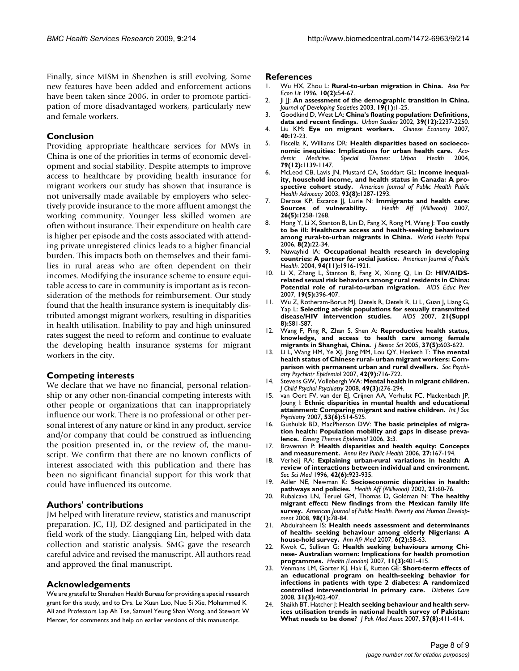Finally, since MISM in Shenzhen is still evolving. Some new features have been added and enforcement actions have been taken since 2006, in order to promote participation of more disadvantaged workers, particularly new and female workers.

## **Conclusion**

Providing appropriate healthcare services for MWs in China is one of the priorities in terms of economic development and social stability. Despite attempts to improve access to healthcare by providing health insurance for migrant workers our study has shown that insurance is not universally made available by employers who selectively provide insurance to the more affluent amongst the working community. Younger less skilled women are often without insurance. Their expenditure on health care is higher per episode and the costs associated with attending private unregistered clinics leads to a higher financial burden. This impacts both on themselves and their families in rural areas who are often dependent on their incomes. Modifying the insurance scheme to ensure equitable access to care in community is important as is reconsideration of the methods for reimbursement. Our study found that the health insurance system is inequitably distributed amongst migrant workers, resulting in disparities in health utilisation. Inability to pay and high uninsured rates suggest the need to reform and continue to evaluate the developing health insurance systems for migrant workers in the city.

#### **Competing interests**

We declare that we have no financial, personal relationship or any other non-financial competing interests with other people or organizations that can inappropriately influence our work. There is no professional or other personal interest of any nature or kind in any product, service and/or company that could be construed as influencing the position presented in, or the review of, the manuscript. We confirm that there are no known conflicts of interest associated with this publication and there has been no significant financial support for this work that could have influenced its outcome.

## **Authors' contributions**

JM helped with literature review, statistics and manuscript preparation. JC, HJ, DZ designed and participated in the field work of the study. Liangqiang Lin, helped with data collection and statistic analysis. SMG gave the research careful advice and revised the manuscript. All authors read and approved the final manuscript.

#### **Acknowledgements**

We are grateful to Shenzhen Health Bureau for providing a special research grant for this study, and to Drs. Le Xuan Luo, Nuo Si Xie, Mohammed K Ali and Professors Lap Ah Tse, Samuel Yeung Shan Wong, and Stewart W Mercer, for comments and help on earlier versions of this manuscript.

#### **References**

- 1. Wu HX, Zhou L: **[Rural-to-urban migration in China.](http://www.ncbi.nlm.nih.gov/entrez/query.fcgi?cmd=Retrieve&db=PubMed&dopt=Abstract&list_uids=12292973)** *Asia Pac Econ Lit* 1996, **10(2):**54-67.
- 2. **Ii II: An assessment of the demographic transition in China.** *Journal of Developing Societies* 2003, **19(1):**1-25.
- 3. Goodkind D, West LA: **China's floating population: Definitions, data and recent findings.** *Urban Studies* 2002, **39(12):**2237-2250.
- 4. Liu KM: **Eye on migrant workers.** *Chinese Economy* 2007, **40:**12-23.
- 5. Fiscella K, Williams DR: **Health disparities based on socioeconomic inequities: Implications for urban health care.** *Aca*demic Medicine. Special Themes: **79(12):**1139-1147.
- 6. McLeod CB, Lavis JN, Mustard CA, Stoddart GL: **Income inequality, household income, and health status in Canada: A prospective cohort study.** *American Journal of Public Health Public Health Advocacy* 2003, **93(8):**1287-1293.
- 7. Derose KP, Escarce JJ, Lurie N: **[Immigrants and health care:](http://www.ncbi.nlm.nih.gov/entrez/query.fcgi?cmd=Retrieve&db=PubMed&dopt=Abstract&list_uids=17848435) [Sources of vulnerability.](http://www.ncbi.nlm.nih.gov/entrez/query.fcgi?cmd=Retrieve&db=PubMed&dopt=Abstract&list_uids=17848435)** *Health Aff (Millwood)* 2007, **26(5):**1258-1268.
- 8. Hong Y, Li X, Stanton B, Lin D, Fang X, Rong M, Wang |: [Too costly](http://www.ncbi.nlm.nih.gov/entrez/query.fcgi?cmd=Retrieve&db=PubMed&dopt=Abstract&list_uids=18277099) **[to be ill: Healthcare access and health-seeking behaviours](http://www.ncbi.nlm.nih.gov/entrez/query.fcgi?cmd=Retrieve&db=PubMed&dopt=Abstract&list_uids=18277099) [among rural-to-urban migrants in China.](http://www.ncbi.nlm.nih.gov/entrez/query.fcgi?cmd=Retrieve&db=PubMed&dopt=Abstract&list_uids=18277099)** *World Health Popul* 2006, **8(2):**22-34.
- 9. Nuwayhid IA: **[Occupational health research in developing](http://www.ncbi.nlm.nih.gov/entrez/query.fcgi?cmd=Retrieve&db=PubMed&dopt=Abstract&list_uids=15514227) [countries: A partner for social justice.](http://www.ncbi.nlm.nih.gov/entrez/query.fcgi?cmd=Retrieve&db=PubMed&dopt=Abstract&list_uids=15514227)** *American Journal of Public Health.* 2004, **94(11):**1916-1921.
- 10. Li X, Zhang L, Stanton B, Fang X, Xiong Q, Lin D: **[HIV/AIDS](http://www.ncbi.nlm.nih.gov/entrez/query.fcgi?cmd=Retrieve&db=PubMed&dopt=Abstract&list_uids=17967110)[related sexual risk behaviors among rural residents in China:](http://www.ncbi.nlm.nih.gov/entrez/query.fcgi?cmd=Retrieve&db=PubMed&dopt=Abstract&list_uids=17967110) [Potential role of rural-to-urban migration.](http://www.ncbi.nlm.nih.gov/entrez/query.fcgi?cmd=Retrieve&db=PubMed&dopt=Abstract&list_uids=17967110)** *AIDS Educ Prev* 2007, **19(5):**396-407.
- 11. Wu Z, Rotheram-Borus MJ, Detels R, Detels R, Li L, Guan J, Liang G, Yap L: **[Selecting at-risk populations for sexually transmitted](http://www.ncbi.nlm.nih.gov/entrez/query.fcgi?cmd=Retrieve&db=PubMed&dopt=Abstract&list_uids=18172396)**  $disc/HIV$  intervention studies. **8):**S81-S87.
- 12. Wang F, Ping R, Zhan S, Shen A: **[Reproductive health status,](http://www.ncbi.nlm.nih.gov/entrez/query.fcgi?cmd=Retrieve&db=PubMed&dopt=Abstract&list_uids=16174349) [knowledge, and access to health care among female](http://www.ncbi.nlm.nih.gov/entrez/query.fcgi?cmd=Retrieve&db=PubMed&dopt=Abstract&list_uids=16174349) [migrants in Shanghai, China.](http://www.ncbi.nlm.nih.gov/entrez/query.fcgi?cmd=Retrieve&db=PubMed&dopt=Abstract&list_uids=16174349)** *J Biosoc Sci* 2005, **37(5):**603-622.
- 13. Li L, Wang HM, Ye XJ, Jiang MM, Lou QY, Hesketh T: **[The mental](http://www.ncbi.nlm.nih.gov/entrez/query.fcgi?cmd=Retrieve&db=PubMed&dopt=Abstract&list_uids=17598056) [health status of Chinese rural- urban migrant workers: Com](http://www.ncbi.nlm.nih.gov/entrez/query.fcgi?cmd=Retrieve&db=PubMed&dopt=Abstract&list_uids=17598056)[parison with permanent urban and rural dwellers.](http://www.ncbi.nlm.nih.gov/entrez/query.fcgi?cmd=Retrieve&db=PubMed&dopt=Abstract&list_uids=17598056)** *Soc Psychiatry Psychiatr Epidemiol* 2007, **42(9):**716-722.
- 14. Stevens GW, Vollebergh WA: **[Mental health in migrant children.](http://www.ncbi.nlm.nih.gov/entrez/query.fcgi?cmd=Retrieve&db=PubMed&dopt=Abstract&list_uids=18081765)** *J Child Psychol Psychiatry* 2008, **49(3):**276-294.
- 15. van Oort FV, van der EJ, Crijnen AA, Verhulst FC, Mackenbach JP, Joung I: **[Ethnic disparities in mental health and educational](http://www.ncbi.nlm.nih.gov/entrez/query.fcgi?cmd=Retrieve&db=PubMed&dopt=Abstract&list_uids=18181354) [attainment: Comparing migrant and native children.](http://www.ncbi.nlm.nih.gov/entrez/query.fcgi?cmd=Retrieve&db=PubMed&dopt=Abstract&list_uids=18181354)** *Int J Soc Psychiatry* 2007, **53(6):**514-525.
- 16. Gushulak BD, MacPherson DW: **[The basic principles of migra](http://www.ncbi.nlm.nih.gov/entrez/query.fcgi?cmd=Retrieve&db=PubMed&dopt=Abstract&list_uids=16674820)[tion health: Population mobility and gaps in disease preva](http://www.ncbi.nlm.nih.gov/entrez/query.fcgi?cmd=Retrieve&db=PubMed&dopt=Abstract&list_uids=16674820)[lence.](http://www.ncbi.nlm.nih.gov/entrez/query.fcgi?cmd=Retrieve&db=PubMed&dopt=Abstract&list_uids=16674820)** *Emerg Themes Epidemiol* 2006, **3:**3.
- 17. Braveman P: **[Health disparities and health equity: Concepts](http://www.ncbi.nlm.nih.gov/entrez/query.fcgi?cmd=Retrieve&db=PubMed&dopt=Abstract&list_uids=16533114) [and measurement.](http://www.ncbi.nlm.nih.gov/entrez/query.fcgi?cmd=Retrieve&db=PubMed&dopt=Abstract&list_uids=16533114)** *Annu Rev Public Health* 2006, **27:**167-194.
- 18. Verheij RA: **[Explaining urban-rural variations in health: A](http://www.ncbi.nlm.nih.gov/entrez/query.fcgi?cmd=Retrieve&db=PubMed&dopt=Abstract&list_uids=8779004) [review of interactions between individual and environment.](http://www.ncbi.nlm.nih.gov/entrez/query.fcgi?cmd=Retrieve&db=PubMed&dopt=Abstract&list_uids=8779004)** *Soc Sci Med* 1996, **42(6):**923-935.
- 19. Adler NE, Newman K: [Socioeconomic disparities in health:](http://www.ncbi.nlm.nih.gov/entrez/query.fcgi?cmd=Retrieve&db=PubMed&dopt=Abstract&list_uids=11900187) **[pathways and policies.](http://www.ncbi.nlm.nih.gov/entrez/query.fcgi?cmd=Retrieve&db=PubMed&dopt=Abstract&list_uids=11900187)** *Health Aff (Millwood)* 2002, **21:**60-76.
- 20. Rubalcava LN, Teruel GM, Thomas D, Goldman N: **The healthy migrant effect: New findings from the Mexican family life survey.** *American Journal of Public Health. Poverty and Human Development* 2008, **98(1):**78-84.
- 21. Abdulraheem IS: **[Health needs assessment and determinants](http://www.ncbi.nlm.nih.gov/entrez/query.fcgi?cmd=Retrieve&db=PubMed&dopt=Abstract&list_uids=18240704) [of health- seeking behaviour among elderly Nigerians: A](http://www.ncbi.nlm.nih.gov/entrez/query.fcgi?cmd=Retrieve&db=PubMed&dopt=Abstract&list_uids=18240704) [house-hold survey.](http://www.ncbi.nlm.nih.gov/entrez/query.fcgi?cmd=Retrieve&db=PubMed&dopt=Abstract&list_uids=18240704)** *Ann Afr Med* 2007, **6(2):**58-63.
- 22. Kwok C, Sullivan G: **[Health seeking behaviours among Chi](http://www.ncbi.nlm.nih.gov/entrez/query.fcgi?cmd=Retrieve&db=PubMed&dopt=Abstract&list_uids=17606701)[nese- Australian women: Implications for health promotion](http://www.ncbi.nlm.nih.gov/entrez/query.fcgi?cmd=Retrieve&db=PubMed&dopt=Abstract&list_uids=17606701) [programmes.](http://www.ncbi.nlm.nih.gov/entrez/query.fcgi?cmd=Retrieve&db=PubMed&dopt=Abstract&list_uids=17606701)** *Health (London)* 2007, **11(3):**401-415.
- 23. Venmans LM, Gorter KJ, Hak E, Rutten GE: **[Short-term effects of](http://www.ncbi.nlm.nih.gov/entrez/query.fcgi?cmd=Retrieve&db=PubMed&dopt=Abstract&list_uids=18056887) [an educational program on health-seeking behavior for](http://www.ncbi.nlm.nih.gov/entrez/query.fcgi?cmd=Retrieve&db=PubMed&dopt=Abstract&list_uids=18056887) infections in patients with type 2 diabetes: A randomized [controlled interventiontrial in primary care.](http://www.ncbi.nlm.nih.gov/entrez/query.fcgi?cmd=Retrieve&db=PubMed&dopt=Abstract&list_uids=18056887)** *Diabetes Care* 2008, **31(3):**402-407.
- 24. Shaikh BT, Hatcher J: **[Health seeking behaviour and health serv](http://www.ncbi.nlm.nih.gov/entrez/query.fcgi?cmd=Retrieve&db=PubMed&dopt=Abstract&list_uids=17902526)[ices utilisation trends in national health survey of Pakistan:](http://www.ncbi.nlm.nih.gov/entrez/query.fcgi?cmd=Retrieve&db=PubMed&dopt=Abstract&list_uids=17902526) [What needs to be done?](http://www.ncbi.nlm.nih.gov/entrez/query.fcgi?cmd=Retrieve&db=PubMed&dopt=Abstract&list_uids=17902526)** *J Pak Med Assoc* 2007, **57(8):**411-414.